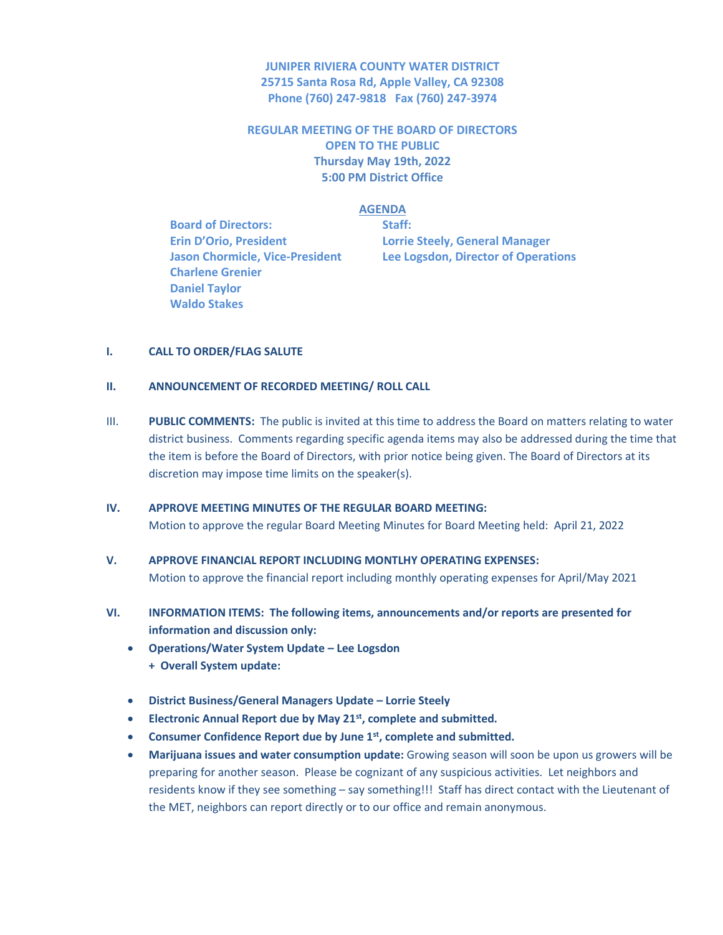**JUNIPER RIVIERA COUNTY WATER DISTRICT 25715 Santa Rosa Rd, Apple Valley, CA 92308 Phone (760) 247-9818 Fax (760) 247-3974**

**REGULAR MEETING OF THE BOARD OF DIRECTORS OPEN TO THE PUBLIC Thursday May 19th, 2022 5:00 PM District Office**

## **AGENDA**

**Board of Directors: Staff: Erin D'Orio, President Lorrie Steely, General Manager Charlene Grenier Daniel Taylor Waldo Stakes**

**Jason Chormicle, Vice-President Lee Logsdon, Director of Operations**

### **I. CALL TO ORDER/FLAG SALUTE**

### **II. ANNOUNCEMENT OF RECORDED MEETING/ ROLL CALL**

III. **PUBLIC COMMENTS:** The public is invited at this time to address the Board on matters relating to water district business. Comments regarding specific agenda items may also be addressed during the time that the item is before the Board of Directors, with prior notice being given. The Board of Directors at its discretion may impose time limits on the speaker(s).

# **IV. APPROVE MEETING MINUTES OF THE REGULAR BOARD MEETING:**

Motion to approve the regular Board Meeting Minutes for Board Meeting held: April 21, 2022

- **V. APPROVE FINANCIAL REPORT INCLUDING MONTLHY OPERATING EXPENSES:**  Motion to approve the financial report including monthly operating expenses for April/May 2021
- **VI. INFORMATION ITEMS: The following items, announcements and/or reports are presented for information and discussion only:**
	- **Operations/Water System Update – Lee Logsdon + Overall System update:**
	- **District Business/General Managers Update – Lorrie Steely**
	- **Electronic Annual Report due by May 21st, complete and submitted.**
	- **Consumer Confidence Report due by June 1st, complete and submitted.**
	- **Marijuana issues and water consumption update:** Growing season will soon be upon us growers will be preparing for another season. Please be cognizant of any suspicious activities. Let neighbors and residents know if they see something – say something!!! Staff has direct contact with the Lieutenant of the MET, neighbors can report directly or to our office and remain anonymous.